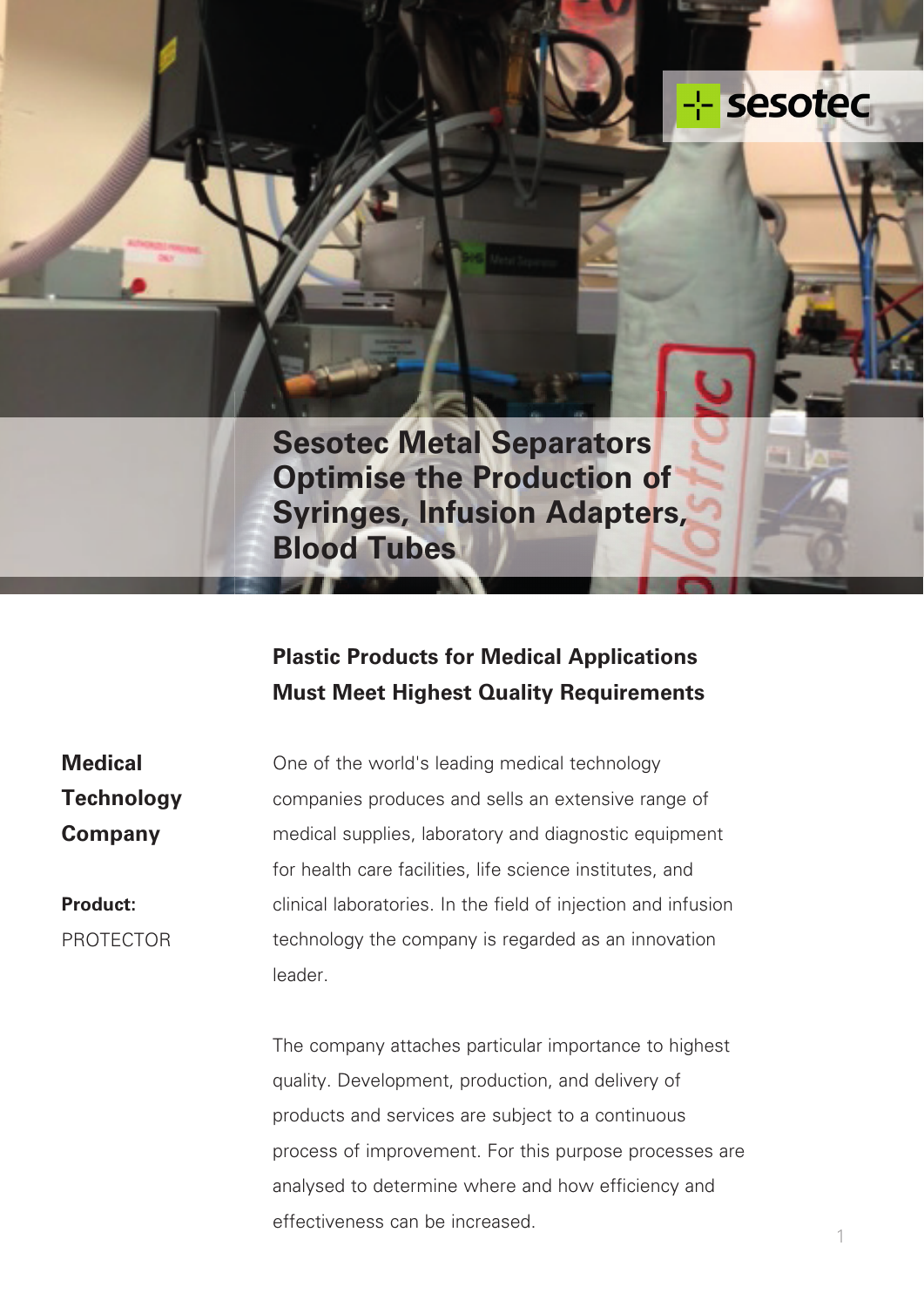# -- sesotec

**Sesotec Metal Separators Optimise the Production of Syringes, Infusion Adapters, Blood Tubes**

## **Plastic Products for Medical Applications Must Meet Highest Quality Requirements**

**Medical Technology Company**

**Product:** PROTECTOR One of the world's leading medical technology companies produces and sells an extensive range of medical supplies, laboratory and diagnostic equipment for health care facilities, life science institutes, and clinical laboratories. In the field of injection and infusion technology the company is regarded as an innovation leader.

The company attaches particular importance to highest quality. Development, production, and delivery of products and services are subject to a continuous process of improvement. For this purpose processes are analysed to determine where and how efficiency and effectiveness can be increased.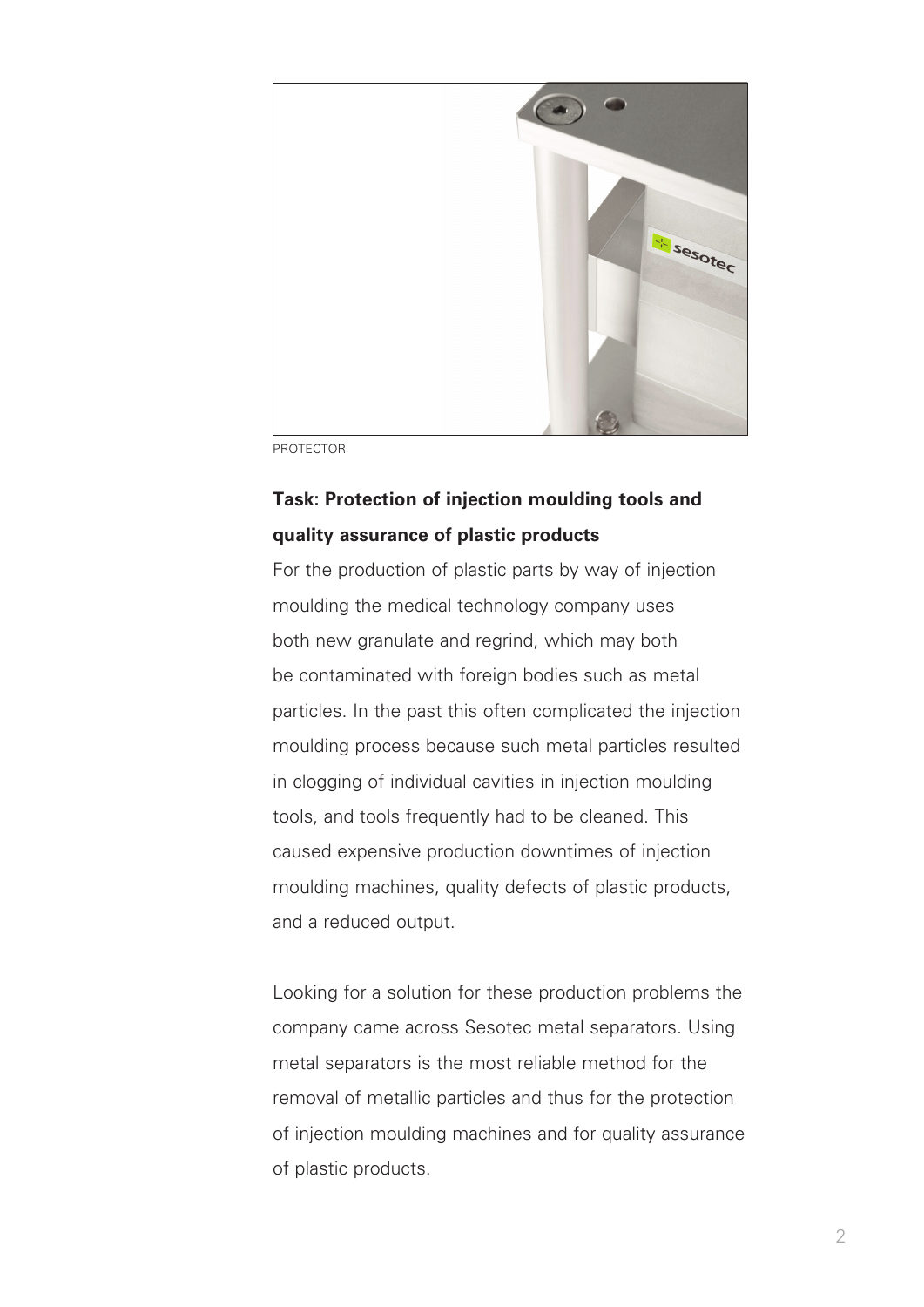

PROTECTOR

### **Task: Protection of injection moulding tools and quality assurance of plastic products**

For the production of plastic parts by way of injection moulding the medical technology company uses both new granulate and regrind, which may both be contaminated with foreign bodies such as metal particles. In the past this often complicated the injection moulding process because such metal particles resulted in clogging of individual cavities in injection moulding tools, and tools frequently had to be cleaned. This caused expensive production downtimes of injection moulding machines, quality defects of plastic products, and a reduced output.

Looking for a solution for these production problems the company came across Sesotec metal separators. Using metal separators is the most reliable method for the removal of metallic particles and thus for the protection of injection moulding machines and for quality assurance of plastic products.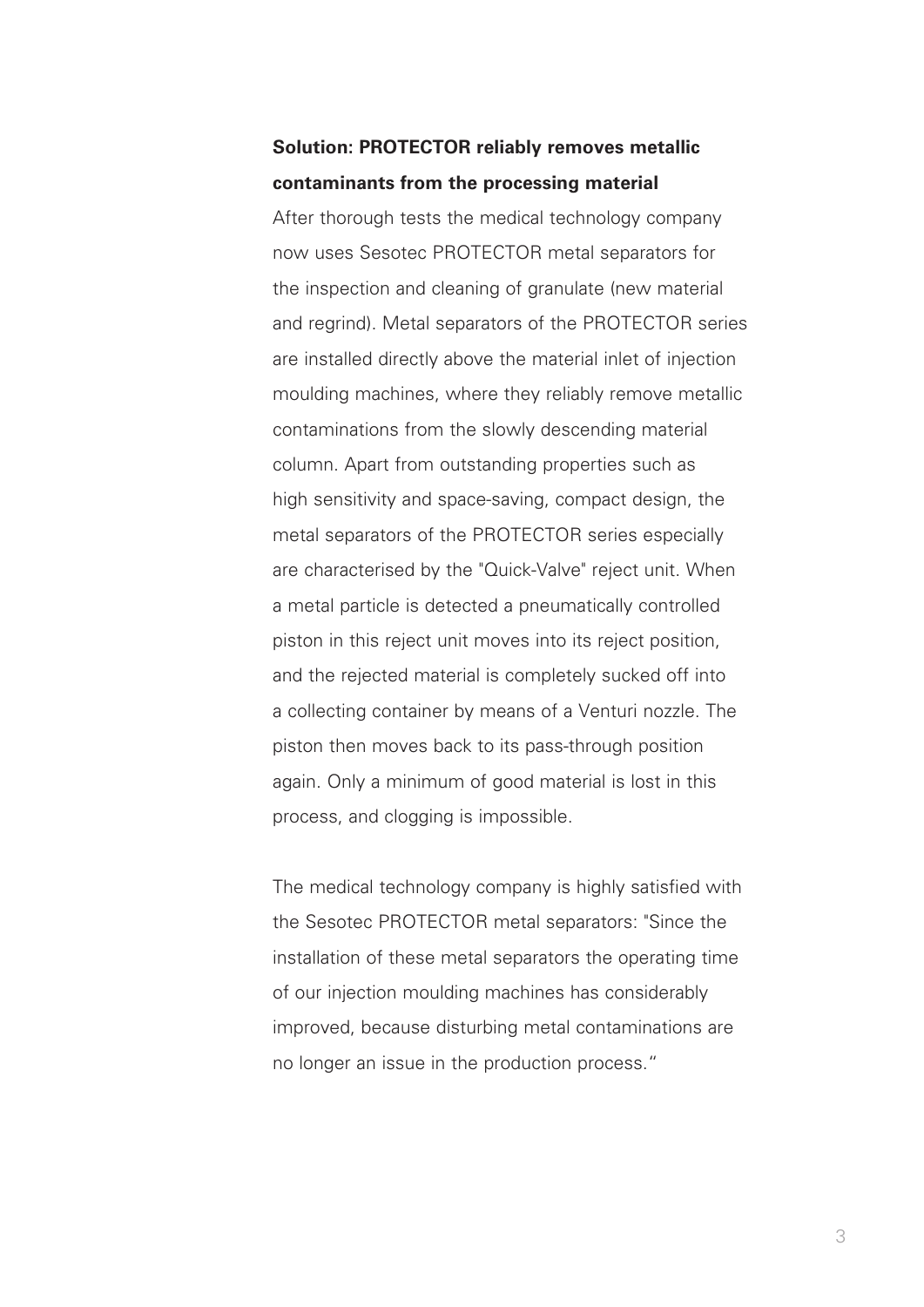#### **Solution: PROTECTOR reliably removes metallic contaminants from the processing material**

After thorough tests the medical technology company now uses Sesotec PROTECTOR metal separators for the inspection and cleaning of granulate (new material and regrind). Metal separators of the PROTECTOR series are installed directly above the material inlet of injection moulding machines, where they reliably remove metallic contaminations from the slowly descending material column. Apart from outstanding properties such as high sensitivity and space-saving, compact design, the metal separators of the PROTECTOR series especially are characterised by the "Quick-Valve" reject unit. When a metal particle is detected a pneumatically controlled piston in this reject unit moves into its reject position, and the rejected material is completely sucked off into a collecting container by means of a Venturi nozzle. The piston then moves back to its pass-through position again. Only a minimum of good material is lost in this process, and clogging is impossible.

The medical technology company is highly satisfied with the Sesotec PROTECTOR metal separators: "Since the installation of these metal separators the operating time of our injection moulding machines has considerably improved, because disturbing metal contaminations are no longer an issue in the production process."